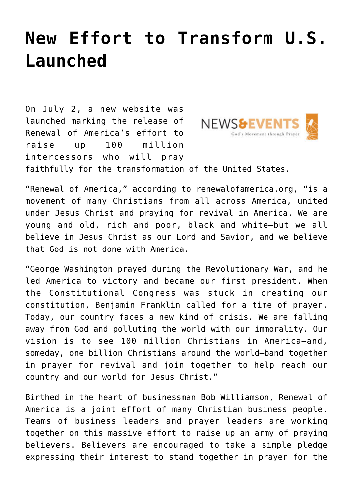## **[New Effort to Transform U.S.](https://www.prayerleader.com/new-effort-to-transform-u-s-launched/) [Launched](https://www.prayerleader.com/new-effort-to-transform-u-s-launched/)**

On July 2, a new website was launched marking the release of **NEWS&E** Renewal of America's effort to God's Movement throug raise up 100 million intercessors who will pray faithfully for the transformation of the United States.

"Renewal of America," according to [renewalofamerica.org,](http://renewalofamerica.org/) "is a movement of many Christians from all across America, united under Jesus Christ and praying for revival in America. We are young and old, rich and poor, black and white—but we all believe in Jesus Christ as our Lord and Savior, and we believe that God is not done with America.

"George Washington prayed during the Revolutionary War, and he led America to victory and became our first president. When the Constitutional Congress was stuck in creating our constitution, Benjamin Franklin called for a time of prayer. Today, our country faces a new kind of crisis. We are falling away from God and polluting the world with our immorality. Our vision is to see 100 million Christians in America—and, someday, one billion Christians around the world—band together in prayer for revival and join together to help reach our country and our world for Jesus Christ."

Birthed in the heart of businessman Bob Williamson, Renewal of America is a joint effort of many Christian business people. Teams of business leaders and prayer leaders are working together on this massive effort to raise up an army of praying believers. Believers are encouraged to take a simple pledge expressing their interest to stand together in prayer for the